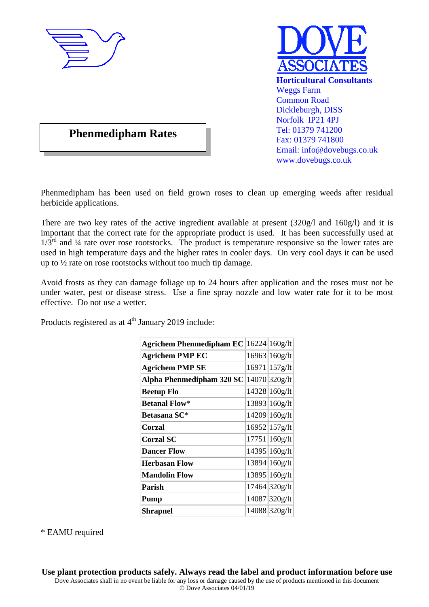



# **Phenmedipham Rates**

Phenmedipham has been used on field grown roses to clean up emerging weeds after residual herbicide applications.

There are two key rates of the active ingredient available at present (320g/l and 160g/l) and it is important that the correct rate for the appropriate product is used. It has been successfully used at  $1/3<sup>rd</sup>$  and  $\frac{1}{4}$  rate over rose rootstocks. The product is temperature responsive so the lower rates are used in high temperature days and the higher rates in cooler days. On very cool days it can be used up to ½ rate on rose rootstocks without too much tip damage.

Avoid frosts as they can damage foliage up to 24 hours after application and the roses must not be under water, pest or disease stress. Use a fine spray nozzle and low water rate for it to be most effective. Do not use a wetter.

Products registered as at  $4<sup>th</sup>$  January 2019 include:

| <b>Agrichem Phenmedipham EC</b> 16224 160g/lt |               |
|-----------------------------------------------|---------------|
| <b>Agrichem PMP EC</b>                        | 16963 160g/lt |
| <b>Agrichem PMP SE</b>                        | 16971 157g/lt |
| Alpha Phenmedipham 320 SC                     | 14070 320g/lt |
| <b>Beetup Flo</b>                             | 14328 160g/lt |
| <b>Betanal Flow*</b>                          | 13893 160g/lt |
| Betasana SC*                                  | 14209 160g/lt |
| Corzal                                        | 16952 157g/lt |
| <b>Corzal SC</b>                              | 17751 160g/lt |
| <b>Dancer Flow</b>                            | 14395 160g/lt |
| <b>Herbasan Flow</b>                          | 13894 160g/lt |
| <b>Mandolin Flow</b>                          | 13895 160g/lt |
| Parish                                        | 17464 320g/lt |
| Pump                                          | 14087 320g/lt |
| Shrapnel                                      | 14088 320g/lt |

\* EAMU required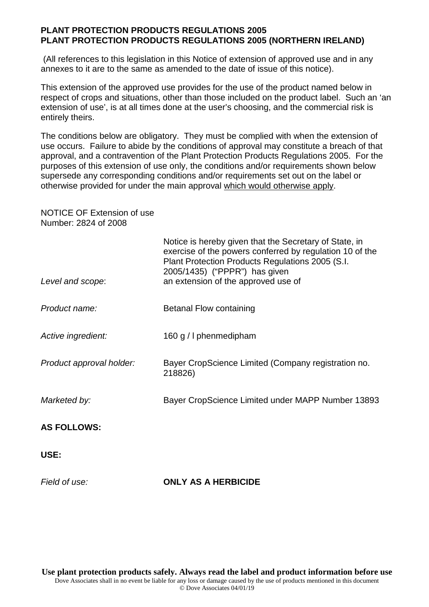#### **PLANT PROTECTION PRODUCTS REGULATIONS 2005 PLANT PROTECTION PRODUCTS REGULATIONS 2005 (NORTHERN IRELAND)**

 (All references to this legislation in this Notice of extension of approved use and in any annexes to it are to the same as amended to the date of issue of this notice).

This extension of the approved use provides for the use of the product named below in respect of crops and situations, other than those included on the product label. Such an 'an extension of use', is at all times done at the user's choosing, and the commercial risk is entirely theirs.

The conditions below are obligatory. They must be complied with when the extension of use occurs. Failure to abide by the conditions of approval may constitute a breach of that approval, and a contravention of the Plant Protection Products Regulations 2005. For the purposes of this extension of use only, the conditions and/or requirements shown below supersede any corresponding conditions and/or requirements set out on the label or otherwise provided for under the main approval which would otherwise apply.

NOTICE OF Extension of use Number: 2824 of 2008

| Level and scope:         | Notice is hereby given that the Secretary of State, in<br>exercise of the powers conferred by regulation 10 of the<br>Plant Protection Products Regulations 2005 (S.I.<br>2005/1435) ("PPPR") has given<br>an extension of the approved use of |
|--------------------------|------------------------------------------------------------------------------------------------------------------------------------------------------------------------------------------------------------------------------------------------|
| Product name:            | <b>Betanal Flow containing</b>                                                                                                                                                                                                                 |
| Active ingredient:       | 160 g / I phenmedipham                                                                                                                                                                                                                         |
| Product approval holder: | Bayer CropScience Limited (Company registration no.<br>218826)                                                                                                                                                                                 |
| Marketed by:             | Bayer CropScience Limited under MAPP Number 13893                                                                                                                                                                                              |
| <b>AS FOLLOWS:</b>       |                                                                                                                                                                                                                                                |
| USE:                     |                                                                                                                                                                                                                                                |
| Field of use:            | <b>ONLY AS A HERBICIDE</b>                                                                                                                                                                                                                     |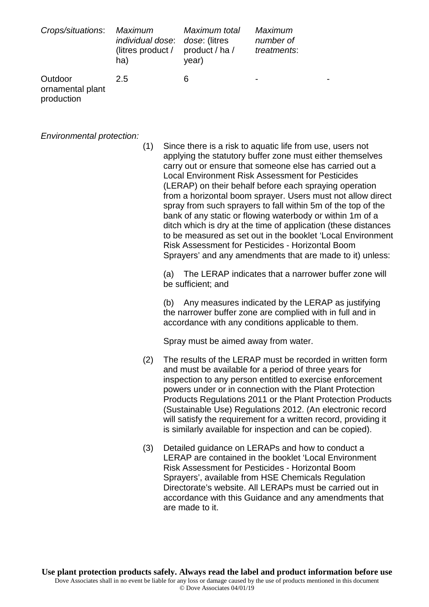| Crops/situations:                         | Maximum<br><i>individual dose: dose: (litres</i><br>(litres product / product / ha /<br>ha) | Maximum total<br>year) | Maximum<br>number of<br>treatments: |
|-------------------------------------------|---------------------------------------------------------------------------------------------|------------------------|-------------------------------------|
| Outdoor<br>ornamental plant<br>production | 2.5                                                                                         | 6                      | -                                   |

*Environmental protection:* 

(1) Since there is a risk to aquatic life from use, users not applying the statutory buffer zone must either themselves carry out or ensure that someone else has carried out a Local Environment Risk Assessment for Pesticides (LERAP) on their behalf before each spraying operation from a horizontal boom sprayer. Users must not allow direct spray from such sprayers to fall within 5m of the top of the bank of any static or flowing waterbody or within 1m of a ditch which is dry at the time of application (these distances to be measured as set out in the booklet 'Local Environment Risk Assessment for Pesticides - Horizontal Boom Sprayers' and any amendments that are made to it) unless:

(a) The LERAP indicates that a narrower buffer zone will be sufficient; and

(b) Any measures indicated by the LERAP as justifying the narrower buffer zone are complied with in full and in accordance with any conditions applicable to them.

Spray must be aimed away from water.

- (2) The results of the LERAP must be recorded in written form and must be available for a period of three years for inspection to any person entitled to exercise enforcement powers under or in connection with the Plant Protection Products Regulations 2011 or the Plant Protection Products (Sustainable Use) Regulations 2012. (An electronic record will satisfy the requirement for a written record, providing it is similarly available for inspection and can be copied).
- (3) Detailed guidance on LERAPs and how to conduct a LERAP are contained in the booklet 'Local Environment Risk Assessment for Pesticides - Horizontal Boom Sprayers', available from HSE Chemicals Regulation Directorate's website. All LERAPs must be carried out in accordance with this Guidance and any amendments that are made to it.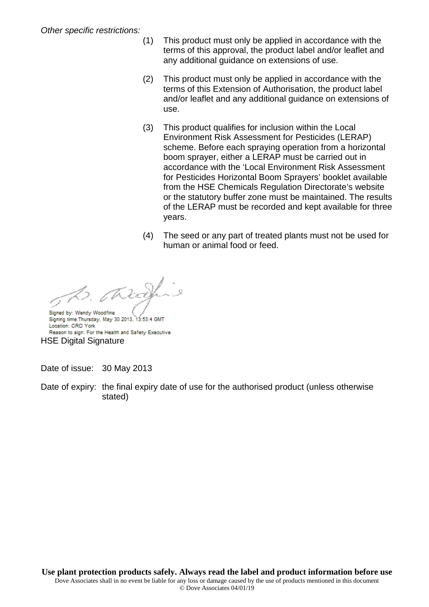- (1) This product must only be applied in accordance with the terms of this approval, the product label and/or leaflet and any additional guidance on extensions of use.
- (2) This product must only be applied in accordance with the terms of this Extension of Authorisation, the product label and/or leaflet and any additional guidance on extensions of use.
- (3) This product qualifies for inclusion within the Local Environment Risk Assessment for Pesticides (LERAP) scheme. Before each spraying operation from a horizontal boom sprayer, either a LERAP must be carried out in accordance with the 'Local Environment Risk Assessment for Pesticides Horizontal Boom Sprayers' booklet available from the HSE Chemicals Regulation Directorate's website or the statutory buffer zone must be maintained. The results of the LERAP must be recorded and kept available for three years.
- (4) The seed or any part of treated plants must not be used for human or animal food or feed.

0. JR

Signed by: Wendy Woodfine Signing time: Thursday, May 30 2013, 13:53:4 GMT Location: CRD York Reason to sign: For the Health and Safety Executive HSE Digital Signature

Date of issue: 30 May 2013

Date of expiry: the final expiry date of use for the authorised product (unless otherwise stated)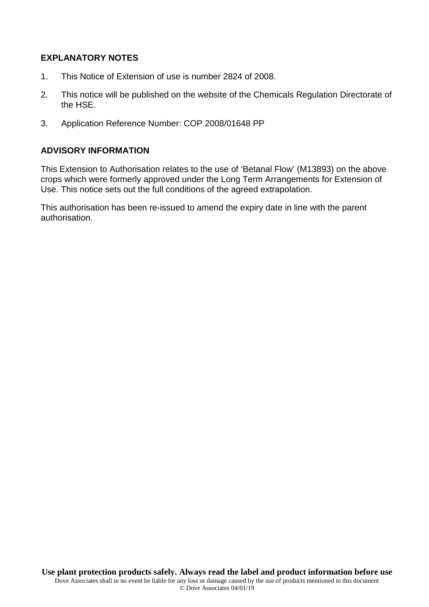### **EXPLANATORY NOTES**

- 1. This Notice of Extension of use is number 2824 of 2008.
- 2. This notice will be published on the website of the Chemicals Regulation Directorate of the HSE.
- 3. Application Reference Number: COP 2008/01648 PP

#### **ADVISORY INFORMATION**

This Extension to Authorisation relates to the use of 'Betanal Flow' (M13893) on the above crops which were formerly approved under the Long Term Arrangements for Extension of Use. This notice sets out the full conditions of the agreed extrapolation.

This authorisation has been re-issued to amend the expiry date in line with the parent authorisation.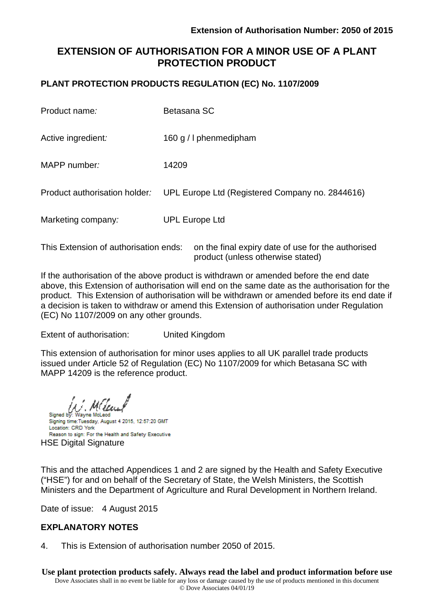## **EXTENSION OF AUTHORISATION FOR A MINOR USE OF A PLANT PROTECTION PRODUCT**

## **PLANT PROTECTION PRODUCTS REGULATION (EC) No. 1107/2009**

| Product name:                         | Betasana SC                                        |
|---------------------------------------|----------------------------------------------------|
| Active ingredient:                    | 160 g / I phenmedipham                             |
| MAPP number:                          | 14209                                              |
| Product authorisation holder:         | UPL Europe Ltd (Registered Company no. 2844616)    |
| Marketing company:                    | <b>UPL Europe Ltd</b>                              |
| This Extension of authorisation ends: | on the final expiry date of use for the authorised |

If the authorisation of the above product is withdrawn or amended before the end date above, this Extension of authorisation will end on the same date as the authorisation for the product. This Extension of authorisation will be withdrawn or amended before its end date if a decision is taken to withdraw or amend this Extension of authorisation under Regulation (EC) No 1107/2009 on any other grounds.

product (unless otherwise stated)

Extent of authorisation: United Kingdom

This extension of authorisation for minor uses applies to all UK parallel trade products issued under Article 52 of Regulation (EC) No 1107/2009 for which Betasana SC with MAPP 14209 is the reference product.

Signed by: Wayne McLeod Signing time:Tuesday, August 4 2015, 12:57:20 GMT Location: CRD York Reason to sign: For the Health and Safety Executive HSE Digital Signature

This and the attached Appendices 1 and 2 are signed by the Health and Safety Executive ("HSE") for and on behalf of the Secretary of State, the Welsh Ministers, the Scottish Ministers and the Department of Agriculture and Rural Development in Northern Ireland.

Date of issue: 4 August 2015

## **EXPLANATORY NOTES**

4. This is Extension of authorisation number 2050 of 2015.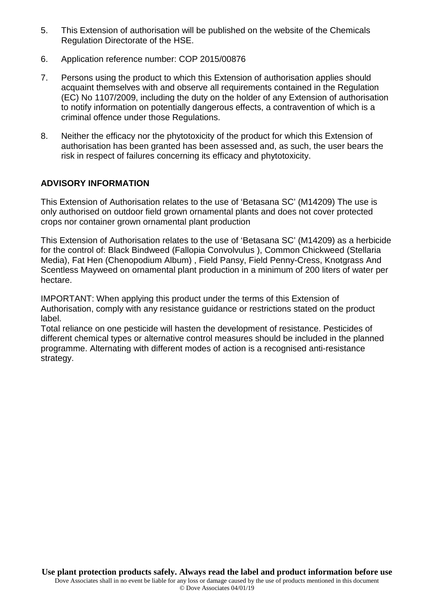- 5. This Extension of authorisation will be published on the website of the Chemicals Regulation Directorate of the HSE.
- 6. Application reference number: COP 2015/00876
- 7. Persons using the product to which this Extension of authorisation applies should acquaint themselves with and observe all requirements contained in the Regulation (EC) No 1107/2009, including the duty on the holder of any Extension of authorisation to notify information on potentially dangerous effects, a contravention of which is a criminal offence under those Regulations.
- 8. Neither the efficacy nor the phytotoxicity of the product for which this Extension of authorisation has been granted has been assessed and, as such, the user bears the risk in respect of failures concerning its efficacy and phytotoxicity.

## **ADVISORY INFORMATION**

This Extension of Authorisation relates to the use of 'Betasana SC' (M14209) The use is only authorised on outdoor field grown ornamental plants and does not cover protected crops nor container grown ornamental plant production

This Extension of Authorisation relates to the use of 'Betasana SC' (M14209) as a herbicide for the control of: Black Bindweed (Fallopia Convolvulus ), Common Chickweed (Stellaria Media), Fat Hen (Chenopodium Album) , Field Pansy, Field Penny-Cress, Knotgrass And Scentless Mayweed on ornamental plant production in a minimum of 200 liters of water per hectare.

IMPORTANT: When applying this product under the terms of this Extension of Authorisation, comply with any resistance guidance or restrictions stated on the product label.

Total reliance on one pesticide will hasten the development of resistance. Pesticides of different chemical types or alternative control measures should be included in the planned programme. Alternating with different modes of action is a recognised anti-resistance strategy.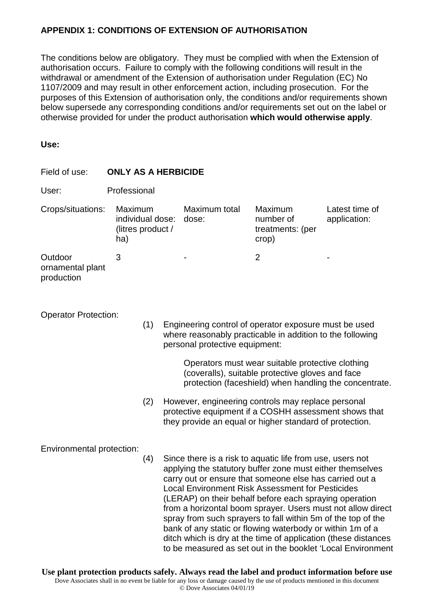## **APPENDIX 1: CONDITIONS OF EXTENSION OF AUTHORISATION**

The conditions below are obligatory. They must be complied with when the Extension of authorisation occurs. Failure to comply with the following conditions will result in the withdrawal or amendment of the Extension of authorisation under Regulation (EC) No 1107/2009 and may result in other enforcement action, including prosecution. For the purposes of this Extension of authorisation only, the conditions and/or requirements shown below supersede any corresponding conditions and/or requirements set out on the label or otherwise provided for under the product authorisation **which would otherwise apply**.

#### **Use:**

| Field of use:                             | <b>ONLY AS A HERBICIDE</b>                              |     |                                                                                                                                                                |                                                                                                                                                                                                                                                                                                                                                                                                                                                                                                                                                                                                                                     |                                |  |
|-------------------------------------------|---------------------------------------------------------|-----|----------------------------------------------------------------------------------------------------------------------------------------------------------------|-------------------------------------------------------------------------------------------------------------------------------------------------------------------------------------------------------------------------------------------------------------------------------------------------------------------------------------------------------------------------------------------------------------------------------------------------------------------------------------------------------------------------------------------------------------------------------------------------------------------------------------|--------------------------------|--|
| User:                                     | Professional                                            |     |                                                                                                                                                                |                                                                                                                                                                                                                                                                                                                                                                                                                                                                                                                                                                                                                                     |                                |  |
| Crops/situations:                         | Maximum<br>individual dose:<br>(litres product /<br>ha) |     | Maximum total<br>dose:                                                                                                                                         | Maximum<br>number of<br>treatments: (per<br>crop)                                                                                                                                                                                                                                                                                                                                                                                                                                                                                                                                                                                   | Latest time of<br>application: |  |
| Outdoor<br>ornamental plant<br>production | 3                                                       |     |                                                                                                                                                                |                                                                                                                                                                                                                                                                                                                                                                                                                                                                                                                                                                                                                                     | $\overline{2}$                 |  |
| <b>Operator Protection:</b>               |                                                         | (1) |                                                                                                                                                                | Engineering control of operator exposure must be used<br>where reasonably practicable in addition to the following<br>personal protective equipment:                                                                                                                                                                                                                                                                                                                                                                                                                                                                                |                                |  |
|                                           |                                                         |     | Operators must wear suitable protective clothing<br>(coveralls), suitable protective gloves and face<br>protection (faceshield) when handling the concentrate. |                                                                                                                                                                                                                                                                                                                                                                                                                                                                                                                                                                                                                                     |                                |  |
|                                           |                                                         | (2) |                                                                                                                                                                | However, engineering controls may replace personal<br>protective equipment if a COSHH assessment shows that<br>they provide an equal or higher standard of protection.                                                                                                                                                                                                                                                                                                                                                                                                                                                              |                                |  |
| Environmental protection:                 |                                                         | (4) |                                                                                                                                                                | Since there is a risk to aquatic life from use, users not<br>applying the statutory buffer zone must either themselves<br>carry out or ensure that someone else has carried out a<br><b>Local Environment Risk Assessment for Pesticides</b><br>(LERAP) on their behalf before each spraying operation<br>from a horizontal boom sprayer. Users must not allow direct<br>spray from such sprayers to fall within 5m of the top of the<br>bank of any static or flowing waterbody or within 1m of a<br>ditch which is dry at the time of application (these distances<br>to be measured as set out in the booklet 'Local Environment |                                |  |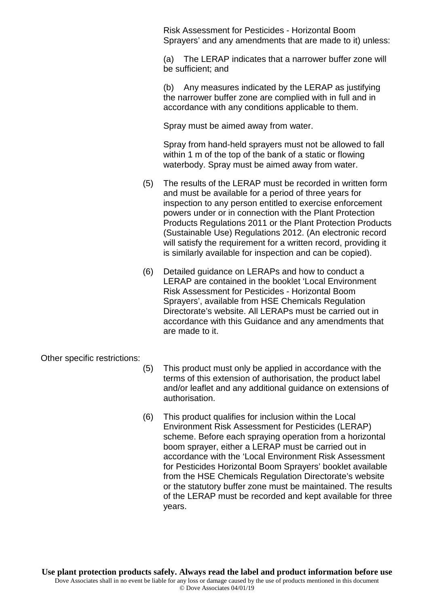Risk Assessment for Pesticides - Horizontal Boom Sprayers' and any amendments that are made to it) unless:

(a) The LERAP indicates that a narrower buffer zone will be sufficient; and

(b) Any measures indicated by the LERAP as justifying the narrower buffer zone are complied with in full and in accordance with any conditions applicable to them.

Spray must be aimed away from water.

Spray from hand-held sprayers must not be allowed to fall within 1 m of the top of the bank of a static or flowing waterbody. Spray must be aimed away from water.

- (5) The results of the LERAP must be recorded in written form and must be available for a period of three years for inspection to any person entitled to exercise enforcement powers under or in connection with the Plant Protection Products Regulations 2011 or the Plant Protection Products (Sustainable Use) Regulations 2012. (An electronic record will satisfy the requirement for a written record, providing it is similarly available for inspection and can be copied).
- (6) Detailed guidance on LERAPs and how to conduct a LERAP are contained in the booklet 'Local Environment Risk Assessment for Pesticides - Horizontal Boom Sprayers', available from HSE Chemicals Regulation Directorate's website. All LERAPs must be carried out in accordance with this Guidance and any amendments that are made to it.

Other specific restrictions:

- (5) This product must only be applied in accordance with the terms of this extension of authorisation, the product label and/or leaflet and any additional guidance on extensions of authorisation.
- (6) This product qualifies for inclusion within the Local Environment Risk Assessment for Pesticides (LERAP) scheme. Before each spraying operation from a horizontal boom sprayer, either a LERAP must be carried out in accordance with the 'Local Environment Risk Assessment for Pesticides Horizontal Boom Sprayers' booklet available from the HSE Chemicals Regulation Directorate's website or the statutory buffer zone must be maintained. The results of the LERAP must be recorded and kept available for three years.